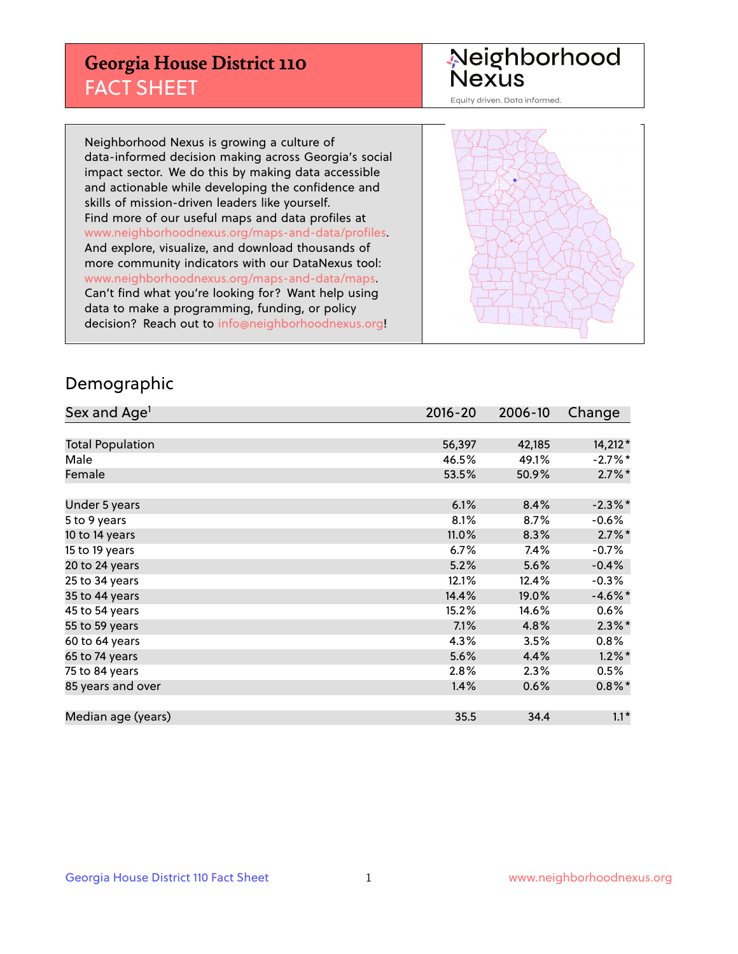## **Georgia House District 110** FACT SHEET

# Neighborhood<br>Nexus

Equity driven. Data informed.

Neighborhood Nexus is growing a culture of data-informed decision making across Georgia's social impact sector. We do this by making data accessible and actionable while developing the confidence and skills of mission-driven leaders like yourself. Find more of our useful maps and data profiles at www.neighborhoodnexus.org/maps-and-data/profiles. And explore, visualize, and download thousands of more community indicators with our DataNexus tool: www.neighborhoodnexus.org/maps-and-data/maps. Can't find what you're looking for? Want help using data to make a programming, funding, or policy decision? Reach out to [info@neighborhoodnexus.org!](mailto:info@neighborhoodnexus.org)



### Demographic

| Sex and Age <sup>1</sup> | $2016 - 20$ | 2006-10 | Change     |
|--------------------------|-------------|---------|------------|
|                          |             |         |            |
| <b>Total Population</b>  | 56,397      | 42,185  | 14,212 *   |
| Male                     | 46.5%       | 49.1%   | $-2.7%$ *  |
| Female                   | 53.5%       | 50.9%   | $2.7\%$ *  |
|                          |             |         |            |
| Under 5 years            | 6.1%        | 8.4%    | $-2.3\%$ * |
| 5 to 9 years             | 8.1%        | 8.7%    | $-0.6\%$   |
| 10 to 14 years           | 11.0%       | 8.3%    | $2.7\%$ *  |
| 15 to 19 years           | 6.7%        | 7.4%    | $-0.7%$    |
| 20 to 24 years           | 5.2%        | 5.6%    | $-0.4%$    |
| 25 to 34 years           | 12.1%       | 12.4%   | $-0.3%$    |
| 35 to 44 years           | 14.4%       | 19.0%   | $-4.6\%$ * |
| 45 to 54 years           | 15.2%       | 14.6%   | 0.6%       |
| 55 to 59 years           | 7.1%        | 4.8%    | $2.3\%$ *  |
| 60 to 64 years           | 4.3%        | 3.5%    | $0.8\%$    |
| 65 to 74 years           | 5.6%        | 4.4%    | $1.2\%$ *  |
| 75 to 84 years           | 2.8%        | 2.3%    | $0.5\%$    |
| 85 years and over        | 1.4%        | 0.6%    | $0.8\%$ *  |
|                          |             |         |            |
| Median age (years)       | 35.5        | 34.4    | $1.1*$     |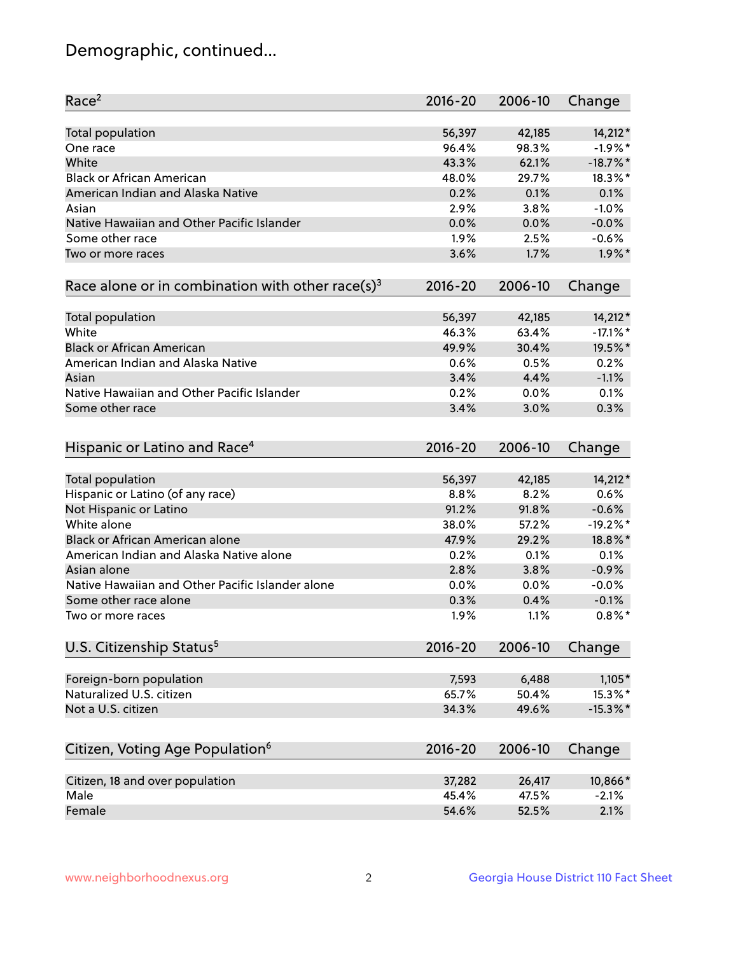## Demographic, continued...

| Race <sup>2</sup>                                            | $2016 - 20$ | 2006-10 | Change      |
|--------------------------------------------------------------|-------------|---------|-------------|
| <b>Total population</b>                                      | 56,397      | 42,185  | 14,212*     |
| One race                                                     | 96.4%       | 98.3%   | $-1.9%$ *   |
| White                                                        | 43.3%       | 62.1%   | $-18.7\%$ * |
| <b>Black or African American</b>                             | 48.0%       | 29.7%   | 18.3%*      |
| American Indian and Alaska Native                            | 0.2%        | 0.1%    | 0.1%        |
| Asian                                                        | 2.9%        | 3.8%    | $-1.0%$     |
| Native Hawaiian and Other Pacific Islander                   | 0.0%        | 0.0%    | $-0.0%$     |
| Some other race                                              | 1.9%        | 2.5%    | $-0.6%$     |
| Two or more races                                            | 3.6%        | 1.7%    | $1.9\%$ *   |
| Race alone or in combination with other race(s) <sup>3</sup> | $2016 - 20$ | 2006-10 | Change      |
| Total population                                             | 56,397      | 42,185  | 14,212*     |
| White                                                        | 46.3%       | 63.4%   | $-17.1\%$ * |
| <b>Black or African American</b>                             | 49.9%       | 30.4%   | 19.5%*      |
| American Indian and Alaska Native                            | 0.6%        | 0.5%    | 0.2%        |
| Asian                                                        | 3.4%        | 4.4%    | $-1.1%$     |
| Native Hawaiian and Other Pacific Islander                   | 0.2%        | 0.0%    | 0.1%        |
| Some other race                                              | 3.4%        | 3.0%    | 0.3%        |
| Hispanic or Latino and Race <sup>4</sup>                     | $2016 - 20$ | 2006-10 | Change      |
| Total population                                             | 56,397      | 42,185  | 14,212*     |
| Hispanic or Latino (of any race)                             | 8.8%        | 8.2%    | 0.6%        |
| Not Hispanic or Latino                                       | 91.2%       | 91.8%   | $-0.6%$     |
| White alone                                                  | 38.0%       | 57.2%   | $-19.2%$ *  |
| <b>Black or African American alone</b>                       | 47.9%       | 29.2%   | 18.8%*      |
| American Indian and Alaska Native alone                      | 0.2%        | 0.1%    | 0.1%        |
| Asian alone                                                  | 2.8%        | 3.8%    | $-0.9%$     |
| Native Hawaiian and Other Pacific Islander alone             | 0.0%        | 0.0%    | $-0.0%$     |
| Some other race alone                                        | 0.3%        | 0.4%    | $-0.1%$     |
| Two or more races                                            | 1.9%        | 1.1%    | $0.8\%$ *   |
| U.S. Citizenship Status <sup>5</sup>                         | $2016 - 20$ | 2006-10 | Change      |
| Foreign-born population                                      | 7,593       | 6,488   | $1,105*$    |
| Naturalized U.S. citizen                                     | 65.7%       | 50.4%   | 15.3%*      |
| Not a U.S. citizen                                           | 34.3%       | 49.6%   | $-15.3\%$ * |
|                                                              |             |         |             |
| Citizen, Voting Age Population <sup>6</sup>                  | $2016 - 20$ | 2006-10 | Change      |
| Citizen, 18 and over population                              | 37,282      | 26,417  | 10,866*     |
| Male                                                         | 45.4%       | 47.5%   | $-2.1%$     |
| Female                                                       | 54.6%       | 52.5%   | 2.1%        |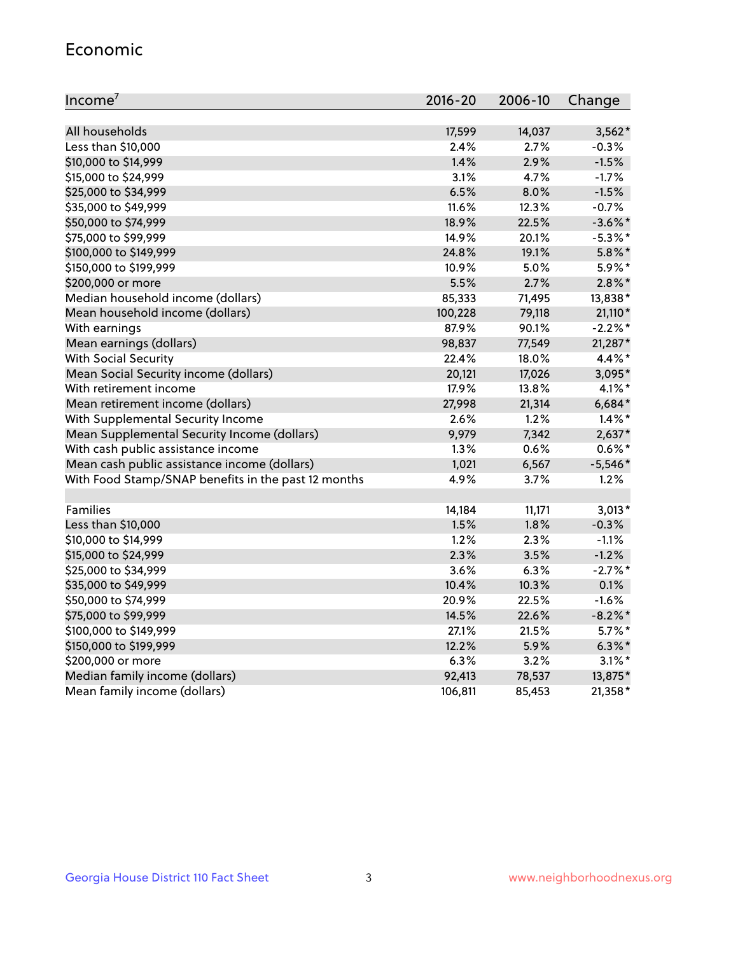#### Economic

| Income <sup>7</sup>                                 | $2016 - 20$ | 2006-10 | Change     |
|-----------------------------------------------------|-------------|---------|------------|
|                                                     |             |         |            |
| All households                                      | 17,599      | 14,037  | $3,562*$   |
| Less than \$10,000                                  | 2.4%        | 2.7%    | $-0.3%$    |
| \$10,000 to \$14,999                                | 1.4%        | 2.9%    | $-1.5%$    |
| \$15,000 to \$24,999                                | 3.1%        | 4.7%    | $-1.7%$    |
| \$25,000 to \$34,999                                | 6.5%        | 8.0%    | $-1.5%$    |
| \$35,000 to \$49,999                                | 11.6%       | 12.3%   | $-0.7%$    |
| \$50,000 to \$74,999                                | 18.9%       | 22.5%   | $-3.6\%$ * |
| \$75,000 to \$99,999                                | 14.9%       | 20.1%   | $-5.3\%$ * |
| \$100,000 to \$149,999                              | 24.8%       | 19.1%   | $5.8\%$ *  |
| \$150,000 to \$199,999                              | 10.9%       | 5.0%    | 5.9%*      |
| \$200,000 or more                                   | 5.5%        | 2.7%    | $2.8\%$ *  |
| Median household income (dollars)                   | 85,333      | 71,495  | 13,838*    |
| Mean household income (dollars)                     | 100,228     | 79,118  | 21,110*    |
| With earnings                                       | 87.9%       | 90.1%   | $-2.2%$ *  |
| Mean earnings (dollars)                             | 98,837      | 77,549  | 21,287*    |
| <b>With Social Security</b>                         | 22.4%       | 18.0%   | 4.4%*      |
| Mean Social Security income (dollars)               | 20,121      | 17,026  | 3,095*     |
| With retirement income                              | 17.9%       | 13.8%   | $4.1\%$ *  |
| Mean retirement income (dollars)                    | 27,998      | 21,314  | $6,684*$   |
| With Supplemental Security Income                   | 2.6%        | 1.2%    | $1.4\%$ *  |
| Mean Supplemental Security Income (dollars)         | 9,979       | 7,342   | $2,637*$   |
| With cash public assistance income                  | 1.3%        | 0.6%    | $0.6\%$ *  |
| Mean cash public assistance income (dollars)        | 1,021       | 6,567   | $-5,546*$  |
| With Food Stamp/SNAP benefits in the past 12 months | 4.9%        | 3.7%    | 1.2%       |
|                                                     |             |         |            |
| Families                                            | 14,184      | 11,171  | $3,013*$   |
| Less than \$10,000                                  | 1.5%        | 1.8%    | $-0.3%$    |
| \$10,000 to \$14,999                                | 1.2%        | 2.3%    | $-1.1%$    |
| \$15,000 to \$24,999                                | 2.3%        | 3.5%    | $-1.2%$    |
| \$25,000 to \$34,999                                | 3.6%        | 6.3%    | $-2.7%$ *  |
| \$35,000 to \$49,999                                | 10.4%       | 10.3%   | 0.1%       |
| \$50,000 to \$74,999                                | 20.9%       | 22.5%   | $-1.6%$    |
| \$75,000 to \$99,999                                | 14.5%       | 22.6%   | $-8.2\%$ * |
| \$100,000 to \$149,999                              | 27.1%       | 21.5%   | $5.7\%$ *  |
| \$150,000 to \$199,999                              | 12.2%       | 5.9%    | $6.3\%$ *  |
| \$200,000 or more                                   | 6.3%        | 3.2%    | $3.1\%$ *  |
| Median family income (dollars)                      | 92,413      | 78,537  | 13,875*    |
| Mean family income (dollars)                        | 106,811     | 85,453  | 21,358*    |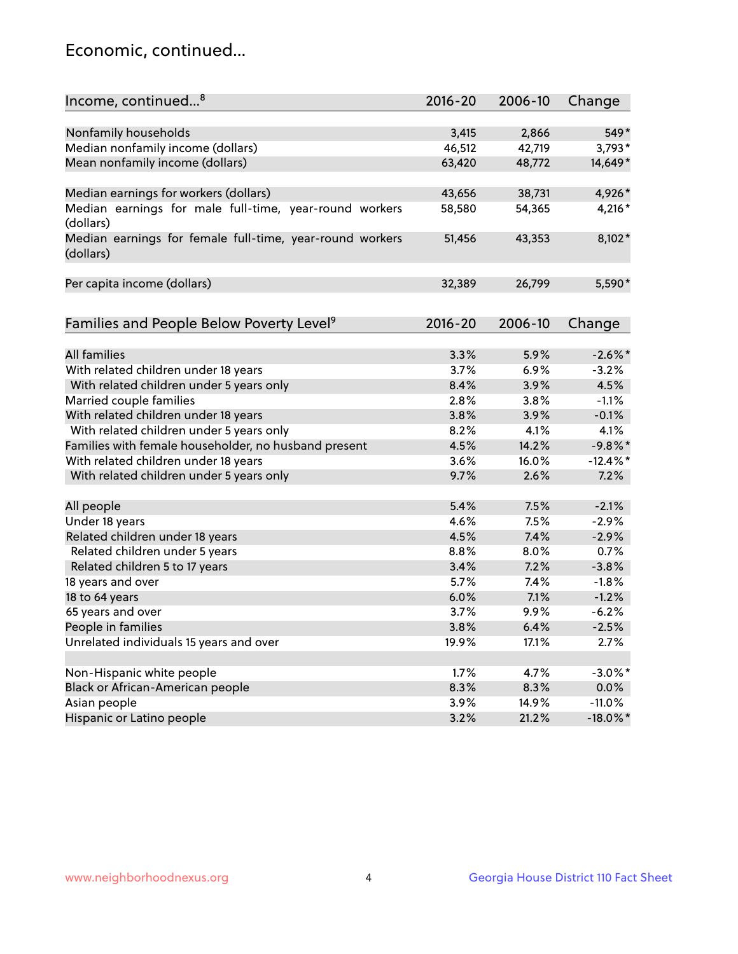## Economic, continued...

| Income, continued <sup>8</sup>                           | $2016 - 20$ | 2006-10 | Change      |
|----------------------------------------------------------|-------------|---------|-------------|
|                                                          |             |         |             |
| Nonfamily households                                     | 3,415       | 2,866   | 549*        |
| Median nonfamily income (dollars)                        | 46,512      | 42,719  | $3,793*$    |
| Mean nonfamily income (dollars)                          | 63,420      | 48,772  | 14,649*     |
|                                                          |             |         |             |
| Median earnings for workers (dollars)                    | 43,656      | 38,731  | 4,926*      |
| Median earnings for male full-time, year-round workers   | 58,580      | 54,365  | 4,216 *     |
| (dollars)                                                |             |         |             |
| Median earnings for female full-time, year-round workers | 51,456      | 43,353  | 8,102*      |
| (dollars)                                                |             |         |             |
|                                                          |             |         |             |
| Per capita income (dollars)                              | 32,389      | 26,799  | 5,590*      |
|                                                          |             |         |             |
| Families and People Below Poverty Level <sup>9</sup>     | $2016 - 20$ | 2006-10 | Change      |
|                                                          |             |         |             |
| <b>All families</b>                                      | 3.3%        | 5.9%    | $-2.6\%$ *  |
| With related children under 18 years                     | 3.7%        | 6.9%    | $-3.2%$     |
| With related children under 5 years only                 | 8.4%        | 3.9%    | 4.5%        |
| Married couple families                                  | 2.8%        | 3.8%    | $-1.1%$     |
| With related children under 18 years                     | 3.8%        | 3.9%    | $-0.1%$     |
| With related children under 5 years only                 | 8.2%        | 4.1%    | 4.1%        |
| Families with female householder, no husband present     | 4.5%        | 14.2%   | $-9.8%$ *   |
| With related children under 18 years                     | 3.6%        | 16.0%   | $-12.4\%$ * |
| With related children under 5 years only                 | 9.7%        | 2.6%    | 7.2%        |
|                                                          |             |         |             |
| All people                                               | 5.4%        | 7.5%    | $-2.1%$     |
| Under 18 years                                           | 4.6%        | 7.5%    | $-2.9%$     |
| Related children under 18 years                          | 4.5%        | 7.4%    | $-2.9%$     |
| Related children under 5 years                           | 8.8%        | 8.0%    | 0.7%        |
| Related children 5 to 17 years                           | 3.4%        | 7.2%    | $-3.8%$     |
| 18 years and over                                        | 5.7%        | 7.4%    | $-1.8%$     |
| 18 to 64 years                                           | 6.0%        | 7.1%    | $-1.2%$     |
| 65 years and over                                        | 3.7%        | 9.9%    | $-6.2%$     |
| People in families                                       | 3.8%        | 6.4%    | $-2.5%$     |
| Unrelated individuals 15 years and over                  | 19.9%       | 17.1%   | 2.7%        |
|                                                          |             |         |             |
| Non-Hispanic white people                                | 1.7%        | 4.7%    | $-3.0\%$ *  |
| Black or African-American people                         | 8.3%        | 8.3%    | 0.0%        |
| Asian people                                             | 3.9%        | 14.9%   | $-11.0%$    |
| Hispanic or Latino people                                | 3.2%        | 21.2%   | $-18.0\%$ * |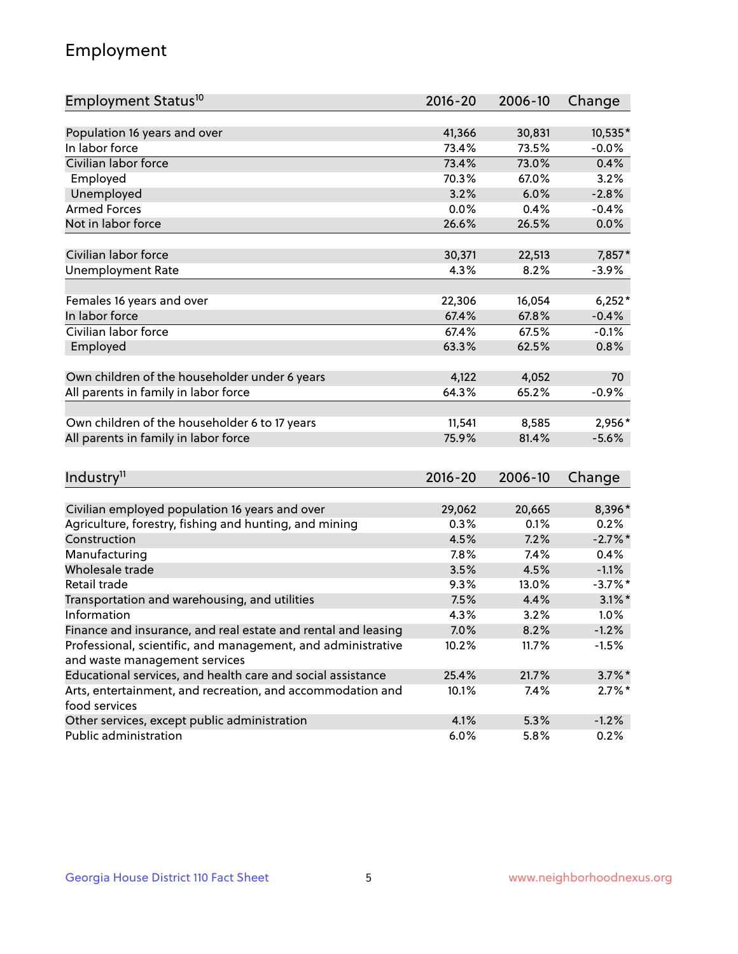## Employment

| Employment Status <sup>10</sup>                                                               | $2016 - 20$ | 2006-10 | Change     |
|-----------------------------------------------------------------------------------------------|-------------|---------|------------|
|                                                                                               |             |         |            |
| Population 16 years and over                                                                  | 41,366      | 30,831  | 10,535*    |
| In labor force                                                                                | 73.4%       | 73.5%   | $-0.0%$    |
| Civilian labor force                                                                          | 73.4%       | 73.0%   | 0.4%       |
| Employed                                                                                      | 70.3%       | 67.0%   | 3.2%       |
| Unemployed                                                                                    | 3.2%        | 6.0%    | $-2.8%$    |
| <b>Armed Forces</b>                                                                           | 0.0%        | 0.4%    | $-0.4%$    |
| Not in labor force                                                                            | 26.6%       | 26.5%   | 0.0%       |
|                                                                                               |             |         |            |
| Civilian labor force                                                                          | 30,371      | 22,513  | 7,857*     |
| <b>Unemployment Rate</b>                                                                      | 4.3%        | 8.2%    | $-3.9%$    |
| Females 16 years and over                                                                     | 22,306      | 16,054  | $6,252*$   |
| In labor force                                                                                | 67.4%       | 67.8%   | $-0.4%$    |
| Civilian labor force                                                                          | 67.4%       | 67.5%   | $-0.1%$    |
| Employed                                                                                      | 63.3%       | 62.5%   | 0.8%       |
|                                                                                               |             |         |            |
| Own children of the householder under 6 years                                                 | 4,122       | 4,052   | 70         |
| All parents in family in labor force                                                          | 64.3%       | 65.2%   | $-0.9%$    |
|                                                                                               |             |         |            |
| Own children of the householder 6 to 17 years                                                 | 11,541      | 8,585   | 2,956*     |
| All parents in family in labor force                                                          | 75.9%       | 81.4%   | $-5.6%$    |
|                                                                                               |             |         |            |
| Industry <sup>11</sup>                                                                        | $2016 - 20$ | 2006-10 | Change     |
|                                                                                               |             |         |            |
| Civilian employed population 16 years and over                                                | 29,062      | 20,665  | 8,396*     |
| Agriculture, forestry, fishing and hunting, and mining                                        | 0.3%        | 0.1%    | 0.2%       |
| Construction                                                                                  | 4.5%        | 7.2%    | $-2.7\%$ * |
| Manufacturing                                                                                 | 7.8%        | 7.4%    | 0.4%       |
| Wholesale trade                                                                               | 3.5%        | 4.5%    | $-1.1%$    |
| Retail trade                                                                                  | 9.3%        | 13.0%   | $-3.7\%$ * |
| Transportation and warehousing, and utilities                                                 | 7.5%        | 4.4%    | $3.1\%$ *  |
| Information                                                                                   | 4.3%        | 3.2%    | 1.0%       |
| Finance and insurance, and real estate and rental and leasing                                 | 7.0%        | 8.2%    | $-1.2%$    |
| Professional, scientific, and management, and administrative<br>and waste management services | 10.2%       | 11.7%   | $-1.5%$    |
| Educational services, and health care and social assistance                                   | 25.4%       | 21.7%   | $3.7\%$ *  |
|                                                                                               |             |         |            |
| Arts, entertainment, and recreation, and accommodation and<br>food services                   | 10.1%       | 7.4%    | $2.7\%$ *  |
| Other services, except public administration                                                  | 4.1%        | 5.3%    | $-1.2%$    |
| Public administration                                                                         | 6.0%        | 5.8%    | 0.2%       |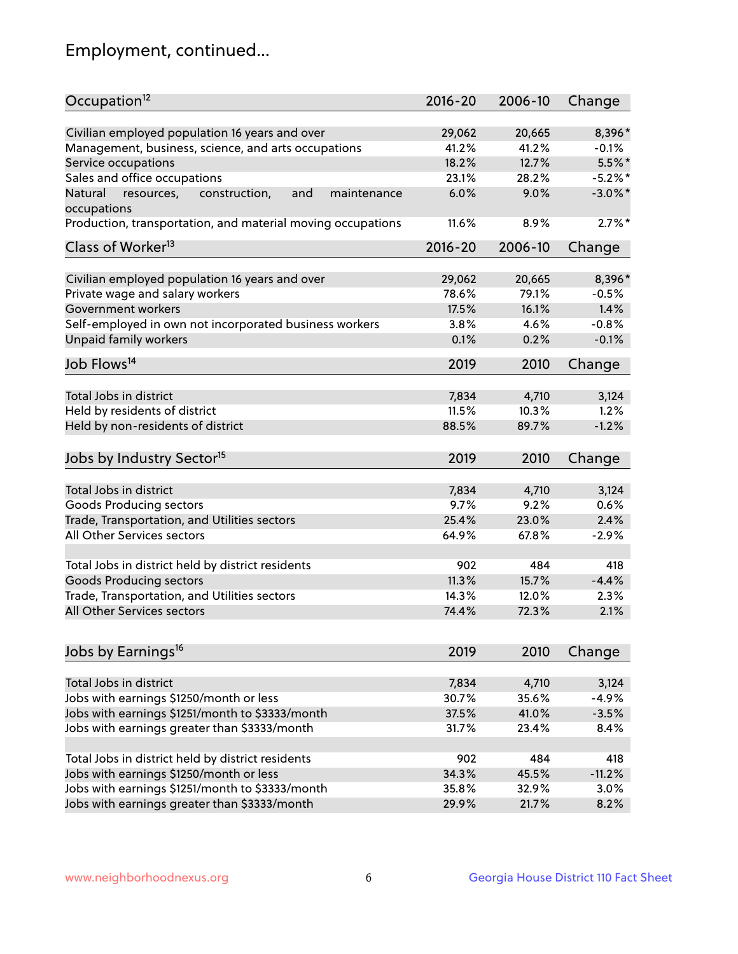## Employment, continued...

| Occupation <sup>12</sup>                                     | $2016 - 20$ | 2006-10 | Change     |
|--------------------------------------------------------------|-------------|---------|------------|
| Civilian employed population 16 years and over               | 29,062      | 20,665  | 8,396*     |
| Management, business, science, and arts occupations          | 41.2%       | 41.2%   | $-0.1%$    |
| Service occupations                                          | 18.2%       | 12.7%   | $5.5\%$ *  |
| Sales and office occupations                                 | 23.1%       | 28.2%   | $-5.2\%$ * |
| Natural<br>and<br>resources,<br>construction,<br>maintenance | 6.0%        | 9.0%    | $-3.0\%$ * |
| occupations                                                  |             |         |            |
| Production, transportation, and material moving occupations  | 11.6%       | 8.9%    | $2.7\%$ *  |
| Class of Worker <sup>13</sup>                                | $2016 - 20$ | 2006-10 | Change     |
|                                                              |             |         |            |
| Civilian employed population 16 years and over               | 29,062      | 20,665  | 8,396*     |
| Private wage and salary workers                              | 78.6%       | 79.1%   | $-0.5%$    |
| Government workers                                           | 17.5%       | 16.1%   | 1.4%       |
| Self-employed in own not incorporated business workers       | 3.8%        | 4.6%    | $-0.8%$    |
| Unpaid family workers                                        | 0.1%        | 0.2%    | $-0.1%$    |
| Job Flows <sup>14</sup>                                      | 2019        | 2010    | Change     |
|                                                              |             |         |            |
| Total Jobs in district                                       | 7,834       | 4,710   | 3,124      |
| Held by residents of district                                | 11.5%       | 10.3%   | 1.2%       |
| Held by non-residents of district                            | 88.5%       | 89.7%   | $-1.2%$    |
| Jobs by Industry Sector <sup>15</sup>                        | 2019        | 2010    | Change     |
|                                                              |             |         |            |
| Total Jobs in district                                       | 7,834       | 4,710   | 3,124      |
| Goods Producing sectors                                      | 9.7%        | 9.2%    | 0.6%       |
| Trade, Transportation, and Utilities sectors                 | 25.4%       | 23.0%   | 2.4%       |
| All Other Services sectors                                   | 64.9%       | 67.8%   | $-2.9%$    |
| Total Jobs in district held by district residents            | 902         | 484     | 418        |
| <b>Goods Producing sectors</b>                               | 11.3%       | 15.7%   | $-4.4%$    |
| Trade, Transportation, and Utilities sectors                 | 14.3%       | 12.0%   | 2.3%       |
| All Other Services sectors                                   | 74.4%       | 72.3%   | 2.1%       |
|                                                              |             |         |            |
| Jobs by Earnings <sup>16</sup>                               | 2019        | 2010    | Change     |
|                                                              |             |         |            |
| Total Jobs in district                                       | 7,834       | 4,710   | 3,124      |
| Jobs with earnings \$1250/month or less                      | 30.7%       | 35.6%   | $-4.9%$    |
| Jobs with earnings \$1251/month to \$3333/month              | 37.5%       | 41.0%   | $-3.5%$    |
| Jobs with earnings greater than \$3333/month                 | 31.7%       | 23.4%   | 8.4%       |
| Total Jobs in district held by district residents            | 902         | 484     | 418        |
| Jobs with earnings \$1250/month or less                      | 34.3%       | 45.5%   | $-11.2%$   |
| Jobs with earnings \$1251/month to \$3333/month              | 35.8%       | 32.9%   | 3.0%       |
| Jobs with earnings greater than \$3333/month                 | 29.9%       | 21.7%   | 8.2%       |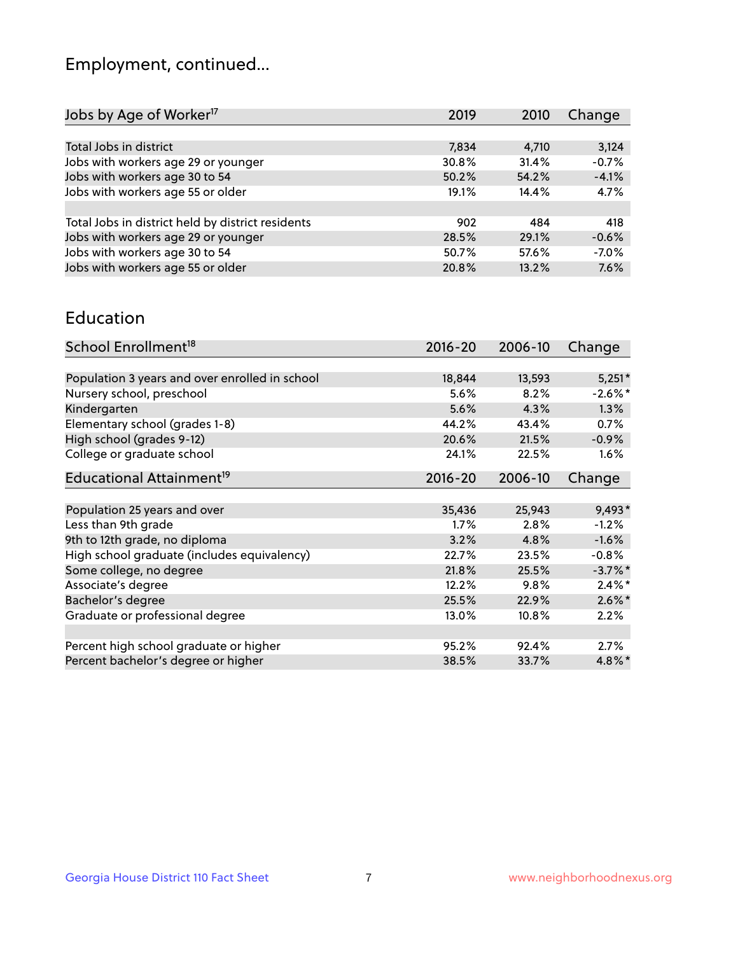## Employment, continued...

| Jobs by Age of Worker <sup>17</sup>               | 2019  | 2010  | Change  |
|---------------------------------------------------|-------|-------|---------|
|                                                   |       |       |         |
| Total Jobs in district                            | 7,834 | 4,710 | 3,124   |
| Jobs with workers age 29 or younger               | 30.8% | 31.4% | $-0.7%$ |
| Jobs with workers age 30 to 54                    | 50.2% | 54.2% | $-4.1%$ |
| Jobs with workers age 55 or older                 | 19.1% | 14.4% | 4.7%    |
|                                                   |       |       |         |
| Total Jobs in district held by district residents | 902   | 484   | 418     |
| Jobs with workers age 29 or younger               | 28.5% | 29.1% | $-0.6%$ |
| Jobs with workers age 30 to 54                    | 50.7% | 57.6% | $-7.0%$ |
| Jobs with workers age 55 or older                 | 20.8% | 13.2% | 7.6%    |

#### Education

| School Enrollment <sup>18</sup>                | $2016 - 20$ | 2006-10 | Change     |
|------------------------------------------------|-------------|---------|------------|
|                                                |             |         |            |
| Population 3 years and over enrolled in school | 18,844      | 13,593  | $5,251*$   |
| Nursery school, preschool                      | 5.6%        | 8.2%    | $-2.6\%$ * |
| Kindergarten                                   | 5.6%        | 4.3%    | 1.3%       |
| Elementary school (grades 1-8)                 | 44.2%       | 43.4%   | 0.7%       |
| High school (grades 9-12)                      | 20.6%       | 21.5%   | $-0.9%$    |
| College or graduate school                     | 24.1%       | 22.5%   | 1.6%       |
| Educational Attainment <sup>19</sup>           | $2016 - 20$ | 2006-10 | Change     |
|                                                |             |         |            |
| Population 25 years and over                   | 35,436      | 25,943  | 9,493*     |
| Less than 9th grade                            | $1.7\%$     | 2.8%    | $-1.2%$    |
| 9th to 12th grade, no diploma                  | 3.2%        | 4.8%    | $-1.6%$    |
| High school graduate (includes equivalency)    | 22.7%       | 23.5%   | $-0.8\%$   |
| Some college, no degree                        | 21.8%       | 25.5%   | $-3.7%$ *  |
| Associate's degree                             | 12.2%       | 9.8%    | $2.4\%$ *  |
| Bachelor's degree                              | 25.5%       | 22.9%   | $2.6\%$ *  |
| Graduate or professional degree                | 13.0%       | 10.8%   | 2.2%       |
|                                                |             |         |            |
| Percent high school graduate or higher         | 95.2%       | 92.4%   | 2.7%       |
| Percent bachelor's degree or higher            | 38.5%       | 33.7%   | $4.8\%$ *  |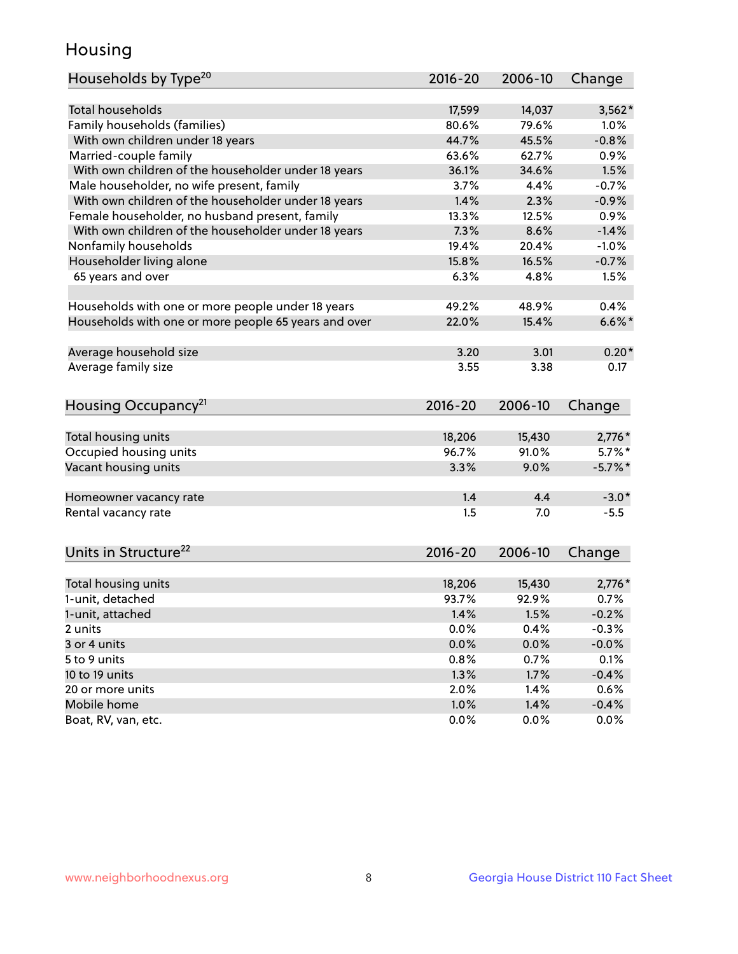## Housing

| Households by Type <sup>20</sup>                     | 2016-20 | 2006-10 | Change     |
|------------------------------------------------------|---------|---------|------------|
|                                                      |         |         |            |
| <b>Total households</b>                              | 17,599  | 14,037  | $3,562*$   |
| Family households (families)                         | 80.6%   | 79.6%   | 1.0%       |
| With own children under 18 years                     | 44.7%   | 45.5%   | $-0.8%$    |
| Married-couple family                                | 63.6%   | 62.7%   | 0.9%       |
| With own children of the householder under 18 years  | 36.1%   | 34.6%   | 1.5%       |
| Male householder, no wife present, family            | 3.7%    | 4.4%    | $-0.7%$    |
| With own children of the householder under 18 years  | 1.4%    | 2.3%    | $-0.9%$    |
| Female householder, no husband present, family       | 13.3%   | 12.5%   | 0.9%       |
| With own children of the householder under 18 years  | 7.3%    | 8.6%    | $-1.4%$    |
| Nonfamily households                                 | 19.4%   | 20.4%   | $-1.0%$    |
| Householder living alone                             | 15.8%   | 16.5%   | $-0.7%$    |
| 65 years and over                                    | 6.3%    | 4.8%    | 1.5%       |
|                                                      |         |         |            |
| Households with one or more people under 18 years    | 49.2%   | 48.9%   | 0.4%       |
| Households with one or more people 65 years and over | 22.0%   | 15.4%   | $6.6\%$ *  |
|                                                      |         |         |            |
| Average household size                               | 3.20    | 3.01    | $0.20*$    |
| Average family size                                  | 3.55    | 3.38    | 0.17       |
|                                                      |         |         |            |
| Housing Occupancy <sup>21</sup>                      | 2016-20 | 2006-10 | Change     |
|                                                      |         |         |            |
| Total housing units                                  | 18,206  | 15,430  | $2,776*$   |
| Occupied housing units                               | 96.7%   | 91.0%   | $5.7\%$ *  |
| Vacant housing units                                 | 3.3%    | 9.0%    | $-5.7\%$ * |
|                                                      |         |         |            |
| Homeowner vacancy rate                               | 1.4     | 4.4     | $-3.0*$    |
| Rental vacancy rate                                  | 1.5     | 7.0     | $-5.5$     |
|                                                      |         |         |            |
| Units in Structure <sup>22</sup>                     | 2016-20 | 2006-10 | Change     |
|                                                      |         |         |            |
| Total housing units                                  | 18,206  | 15,430  | $2,776*$   |
| 1-unit, detached                                     | 93.7%   | 92.9%   | 0.7%       |
| 1-unit, attached                                     | 1.4%    | 1.5%    | $-0.2%$    |
| 2 units                                              | 0.0%    | 0.4%    | $-0.3%$    |
| 3 or 4 units                                         | 0.0%    | 0.0%    | $-0.0%$    |
| 5 to 9 units                                         | 0.8%    | 0.7%    | 0.1%       |
| 10 to 19 units                                       | 1.3%    | 1.7%    | $-0.4%$    |
| 20 or more units                                     | 2.0%    | 1.4%    | 0.6%       |
| Mobile home                                          | 1.0%    | 1.4%    | $-0.4%$    |
| Boat, RV, van, etc.                                  | 0.0%    | 0.0%    | 0.0%       |
|                                                      |         |         |            |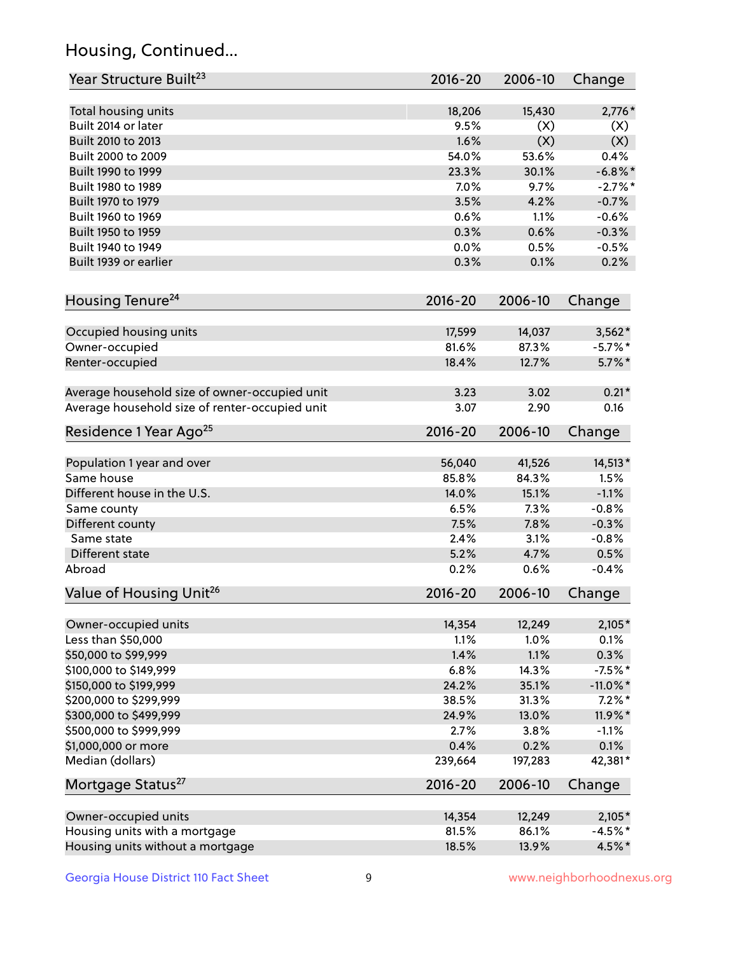## Housing, Continued...

| Year Structure Built <sup>23</sup>             | 2016-20     | 2006-10 | Change      |
|------------------------------------------------|-------------|---------|-------------|
| Total housing units                            | 18,206      | 15,430  | $2,776*$    |
| Built 2014 or later                            | 9.5%        | (X)     | (X)         |
| Built 2010 to 2013                             | 1.6%        | (X)     | (X)         |
| Built 2000 to 2009                             | 54.0%       | 53.6%   | 0.4%        |
| Built 1990 to 1999                             | 23.3%       | 30.1%   | $-6.8\%$ *  |
| Built 1980 to 1989                             | 7.0%        | 9.7%    | $-2.7%$     |
| Built 1970 to 1979                             | 3.5%        | 4.2%    | $-0.7%$     |
| Built 1960 to 1969                             | 0.6%        | 1.1%    | $-0.6%$     |
| Built 1950 to 1959                             | 0.3%        | 0.6%    | $-0.3%$     |
| Built 1940 to 1949                             | 0.0%        | 0.5%    | $-0.5%$     |
| Built 1939 or earlier                          | 0.3%        | 0.1%    | 0.2%        |
| Housing Tenure <sup>24</sup>                   | $2016 - 20$ | 2006-10 | Change      |
|                                                |             |         |             |
| Occupied housing units                         | 17,599      | 14,037  | $3,562*$    |
| Owner-occupied                                 | 81.6%       | 87.3%   | $-5.7\%$ *  |
| Renter-occupied                                | 18.4%       | 12.7%   | $5.7\%$ *   |
| Average household size of owner-occupied unit  | 3.23        | 3.02    | $0.21*$     |
| Average household size of renter-occupied unit | 3.07        | 2.90    | 0.16        |
| Residence 1 Year Ago <sup>25</sup>             | $2016 - 20$ | 2006-10 | Change      |
|                                                |             |         |             |
| Population 1 year and over                     | 56,040      | 41,526  | 14,513*     |
| Same house                                     | 85.8%       | 84.3%   | 1.5%        |
| Different house in the U.S.                    | 14.0%       | 15.1%   | $-1.1%$     |
| Same county                                    | 6.5%        | 7.3%    | $-0.8%$     |
| Different county                               | 7.5%        | 7.8%    | $-0.3%$     |
| Same state                                     | 2.4%        | 3.1%    | $-0.8%$     |
| Different state                                | 5.2%        | 4.7%    | 0.5%        |
| Abroad                                         | 0.2%        | 0.6%    | $-0.4%$     |
| Value of Housing Unit <sup>26</sup>            | 2016-20     | 2006-10 | Change      |
| Owner-occupied units                           | 14,354      | 12,249  | $2,105*$    |
| Less than \$50,000                             | 1.1%        | 1.0%    | 0.1%        |
| \$50,000 to \$99,999                           | 1.4%        | 1.1%    | 0.3%        |
| \$100,000 to \$149,999                         | 6.8%        | 14.3%   | $-7.5%$ *   |
| \$150,000 to \$199,999                         | 24.2%       | 35.1%   | $-11.0\%$ * |
| \$200,000 to \$299,999                         | 38.5%       | 31.3%   | $7.2\%$ *   |
| \$300,000 to \$499,999                         | 24.9%       | 13.0%   | 11.9%*      |
| \$500,000 to \$999,999                         | 2.7%        | 3.8%    | $-1.1%$     |
| \$1,000,000 or more                            | 0.4%        | 0.2%    | 0.1%        |
| Median (dollars)                               | 239,664     | 197,283 | 42,381*     |
| Mortgage Status <sup>27</sup>                  | $2016 - 20$ | 2006-10 | Change      |
|                                                |             |         |             |
| Owner-occupied units                           | 14,354      | 12,249  | $2,105*$    |
| Housing units with a mortgage                  | 81.5%       | 86.1%   | $-4.5%$ *   |
| Housing units without a mortgage               | 18.5%       | 13.9%   | 4.5%*       |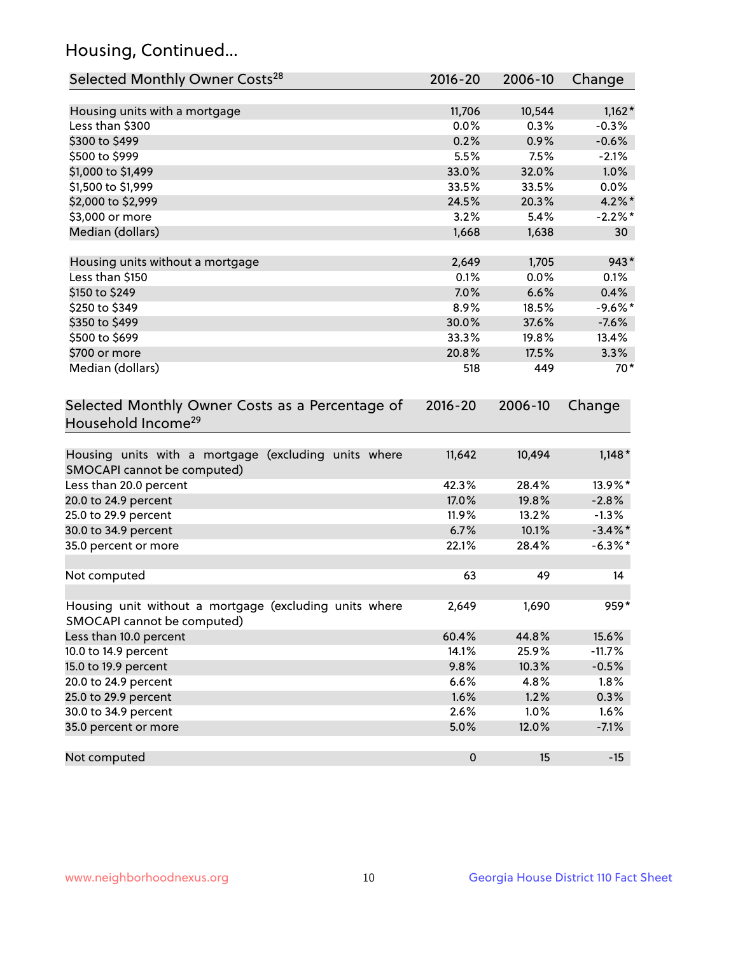## Housing, Continued...

| Selected Monthly Owner Costs <sup>28</sup>                                            | 2016-20     | 2006-10 | Change     |
|---------------------------------------------------------------------------------------|-------------|---------|------------|
| Housing units with a mortgage                                                         | 11,706      | 10,544  | $1,162*$   |
| Less than \$300                                                                       | 0.0%        | 0.3%    | $-0.3%$    |
| \$300 to \$499                                                                        | 0.2%        | 0.9%    | $-0.6%$    |
| \$500 to \$999                                                                        | 5.5%        | 7.5%    | $-2.1%$    |
| \$1,000 to \$1,499                                                                    | 33.0%       | 32.0%   | 1.0%       |
| \$1,500 to \$1,999                                                                    | 33.5%       | 33.5%   | $0.0\%$    |
| \$2,000 to \$2,999                                                                    | 24.5%       | 20.3%   | $4.2\%$ *  |
| \$3,000 or more                                                                       | 3.2%        | 5.4%    | $-2.2%$ *  |
| Median (dollars)                                                                      | 1,668       | 1,638   | 30         |
| Housing units without a mortgage                                                      | 2,649       | 1,705   | $943*$     |
| Less than \$150                                                                       | 0.1%        | 0.0%    | 0.1%       |
| \$150 to \$249                                                                        | 7.0%        | 6.6%    | 0.4%       |
| \$250 to \$349                                                                        | 8.9%        | 18.5%   | $-9.6%$ *  |
| \$350 to \$499                                                                        | 30.0%       | 37.6%   | $-7.6%$    |
| \$500 to \$699                                                                        | 33.3%       | 19.8%   | 13.4%      |
| \$700 or more                                                                         | 20.8%       | 17.5%   | 3.3%       |
| Median (dollars)                                                                      | 518         | 449     | $70*$      |
| Selected Monthly Owner Costs as a Percentage of<br>Household Income <sup>29</sup>     | $2016 - 20$ | 2006-10 | Change     |
| Housing units with a mortgage (excluding units where<br>SMOCAPI cannot be computed)   | 11,642      | 10,494  | $1,148*$   |
| Less than 20.0 percent                                                                | 42.3%       | 28.4%   | 13.9%*     |
| 20.0 to 24.9 percent                                                                  | 17.0%       | 19.8%   | $-2.8%$    |
| 25.0 to 29.9 percent                                                                  | 11.9%       | 13.2%   | $-1.3%$    |
| 30.0 to 34.9 percent                                                                  | 6.7%        | 10.1%   | $-3.4\%$ * |
| 35.0 percent or more                                                                  | 22.1%       | 28.4%   | $-6.3\%$ * |
| Not computed                                                                          | 63          | 49      | 14         |
| Housing unit without a mortgage (excluding units where<br>SMOCAPI cannot be computed) | 2,649       | 1,690   | $959*$     |
| Less than 10.0 percent                                                                | 60.4%       | 44.8%   | 15.6%      |
| 10.0 to 14.9 percent                                                                  | 14.1%       | 25.9%   | $-11.7%$   |
| 15.0 to 19.9 percent                                                                  | 9.8%        | 10.3%   | $-0.5%$    |
| 20.0 to 24.9 percent                                                                  | 6.6%        | 4.8%    | 1.8%       |
| 25.0 to 29.9 percent                                                                  | 1.6%        | 1.2%    | 0.3%       |
| 30.0 to 34.9 percent                                                                  | 2.6%        | 1.0%    | 1.6%       |
| 35.0 percent or more                                                                  | 5.0%        | 12.0%   | $-7.1%$    |
| Not computed                                                                          | $\pmb{0}$   | 15      | $-15$      |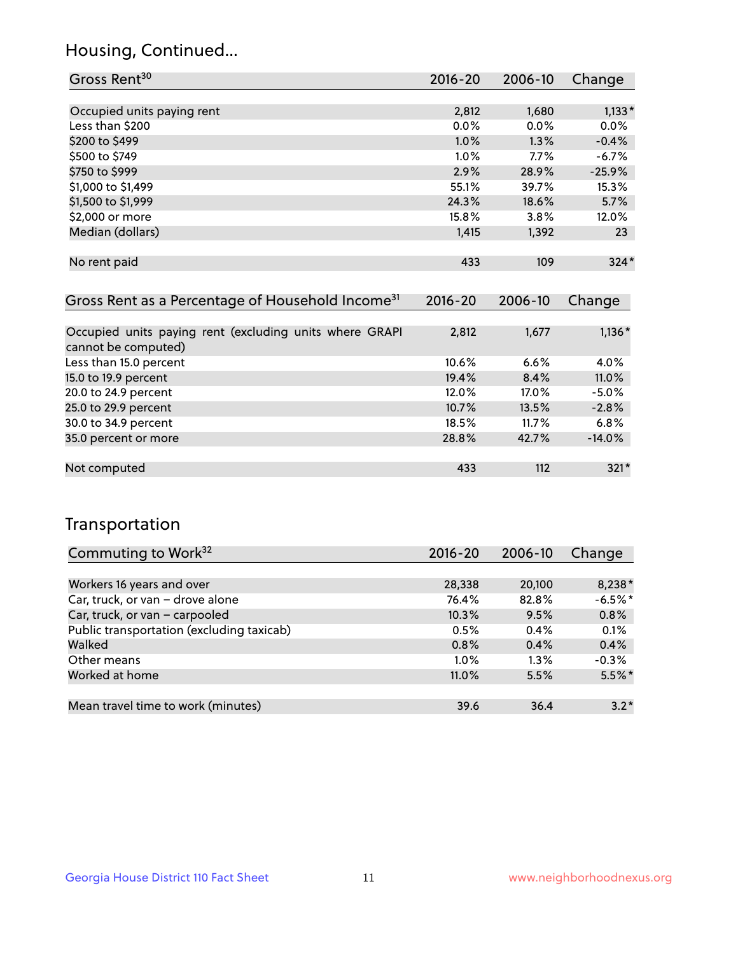## Housing, Continued...

| Gross Rent <sup>30</sup>   | 2016-20 | 2006-10 | Change   |
|----------------------------|---------|---------|----------|
|                            |         |         |          |
| Occupied units paying rent | 2,812   | 1,680   | $1,133*$ |
| Less than \$200            | $0.0\%$ | $0.0\%$ | 0.0%     |
| \$200 to \$499             | 1.0%    | 1.3%    | $-0.4%$  |
| \$500 to \$749             | $1.0\%$ | 7.7%    | $-6.7%$  |
| \$750 to \$999             | 2.9%    | 28.9%   | $-25.9%$ |
| \$1,000 to \$1,499         | 55.1%   | 39.7%   | 15.3%    |
| \$1,500 to \$1,999         | 24.3%   | 18.6%   | 5.7%     |
| \$2,000 or more            | 15.8%   | 3.8%    | 12.0%    |
| Median (dollars)           | 1,415   | 1,392   | 23       |
|                            |         |         |          |
| No rent paid               | 433     | 109     | $324*$   |
|                            |         |         |          |

| Gross Rent as a Percentage of Household Income <sup>31</sup>                   | $2016 - 20$ | 2006-10 | Change   |
|--------------------------------------------------------------------------------|-------------|---------|----------|
|                                                                                |             |         |          |
| Occupied units paying rent (excluding units where GRAPI<br>cannot be computed) | 2,812       | 1,677   | $1,136*$ |
| Less than 15.0 percent                                                         | $10.6\%$    | 6.6%    | 4.0%     |
| 15.0 to 19.9 percent                                                           | 19.4%       | 8.4%    | 11.0%    |
| 20.0 to 24.9 percent                                                           | 12.0%       | 17.0%   | $-5.0%$  |
| 25.0 to 29.9 percent                                                           | 10.7%       | 13.5%   | $-2.8%$  |
| 30.0 to 34.9 percent                                                           | 18.5%       | 11.7%   | 6.8%     |
| 35.0 percent or more                                                           | 28.8%       | 42.7%   | $-14.0%$ |
|                                                                                |             |         |          |
| Not computed                                                                   | 433         | 112     | $321*$   |

## Transportation

| Commuting to Work <sup>32</sup>           | 2016-20 | 2006-10 | Change    |
|-------------------------------------------|---------|---------|-----------|
|                                           |         |         |           |
| Workers 16 years and over                 | 28,338  | 20,100  | 8,238*    |
| Car, truck, or van - drove alone          | 76.4%   | 82.8%   | $-6.5%$ * |
| Car, truck, or van - carpooled            | 10.3%   | 9.5%    | 0.8%      |
| Public transportation (excluding taxicab) | 0.5%    | 0.4%    | 0.1%      |
| Walked                                    | 0.8%    | 0.4%    | 0.4%      |
| Other means                               | $1.0\%$ | $1.3\%$ | $-0.3%$   |
| Worked at home                            | 11.0%   | 5.5%    | $5.5\%$ * |
|                                           |         |         |           |
| Mean travel time to work (minutes)        | 39.6    | 36.4    | $3.2*$    |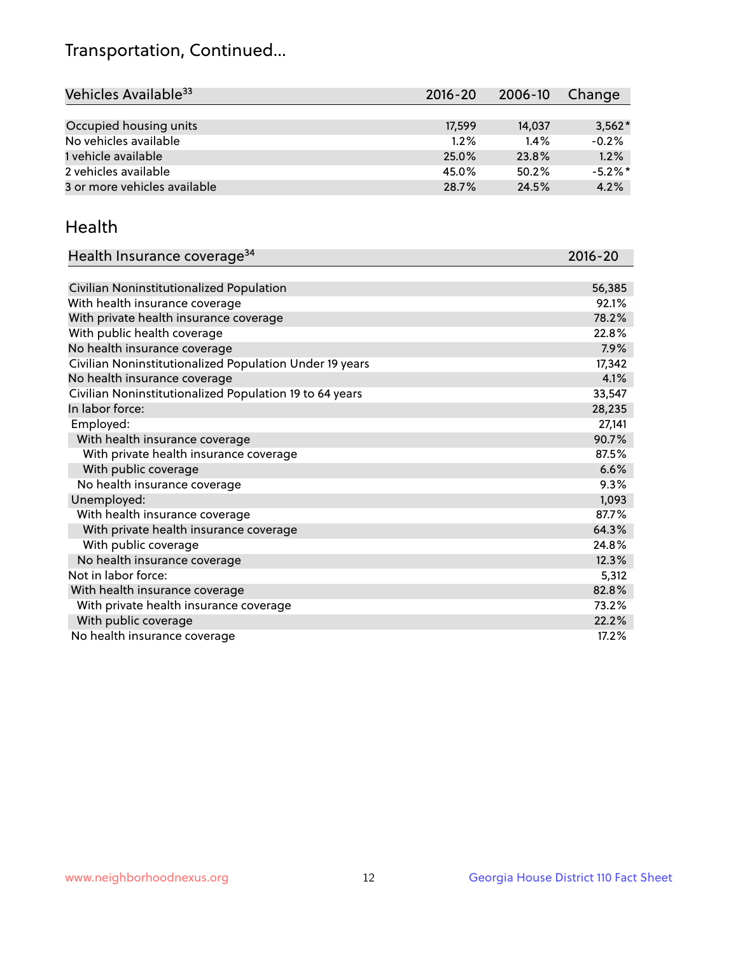## Transportation, Continued...

| Vehicles Available <sup>33</sup> | $2016 - 20$ | 2006-10 | Change     |
|----------------------------------|-------------|---------|------------|
|                                  |             |         |            |
| Occupied housing units           | 17,599      | 14,037  | $3,562*$   |
| No vehicles available            | 1.2%        | 1.4%    | $-0.2%$    |
| 1 vehicle available              | 25.0%       | 23.8%   | 1.2%       |
| 2 vehicles available             | 45.0%       | 50.2%   | $-5.2\%$ * |
| 3 or more vehicles available     | 28.7%       | 24.5%   | 4.2%       |

#### Health

| Health Insurance coverage <sup>34</sup>                 | 2016-20 |
|---------------------------------------------------------|---------|
|                                                         |         |
| Civilian Noninstitutionalized Population                | 56,385  |
| With health insurance coverage                          | 92.1%   |
| With private health insurance coverage                  | 78.2%   |
| With public health coverage                             | 22.8%   |
| No health insurance coverage                            | 7.9%    |
| Civilian Noninstitutionalized Population Under 19 years | 17,342  |
| No health insurance coverage                            | 4.1%    |
| Civilian Noninstitutionalized Population 19 to 64 years | 33,547  |
| In labor force:                                         | 28,235  |
| Employed:                                               | 27,141  |
| With health insurance coverage                          | 90.7%   |
| With private health insurance coverage                  | 87.5%   |
| With public coverage                                    | 6.6%    |
| No health insurance coverage                            | 9.3%    |
| Unemployed:                                             | 1,093   |
| With health insurance coverage                          | 87.7%   |
| With private health insurance coverage                  | 64.3%   |
| With public coverage                                    | 24.8%   |
| No health insurance coverage                            | 12.3%   |
| Not in labor force:                                     | 5,312   |
| With health insurance coverage                          | 82.8%   |
| With private health insurance coverage                  | 73.2%   |
| With public coverage                                    | 22.2%   |
| No health insurance coverage                            | 17.2%   |